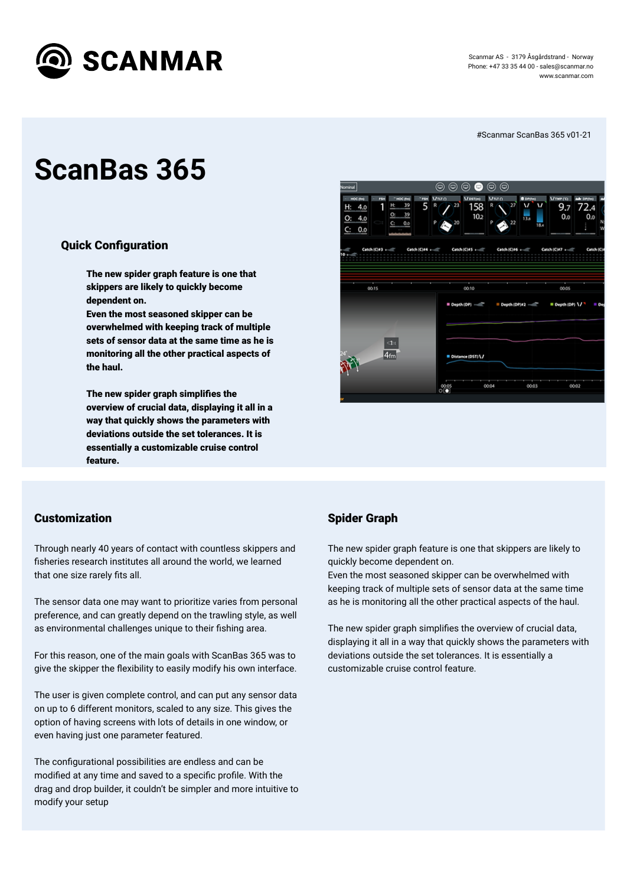

Scanmar AS - 3179 Åsgårdstrand - Norway Phone: +47 33 35 44 00 - [sales@scanmar.no](mailto:sales@scanmar.no) www.scanmar.com

# **ScanBas 365**

### **Quick Configuration**

#Scanmar ScanBas 365 v01-21

The new spider graph feature is one that skippers are likely to quickly become dependent on.

Even the most seasoned skipper can be overwhelmed with keeping track of multiple



The new spider graph simplifies the overview of crucial data, displaying it all in a way that quickly shows the parameters with deviations outside the set tolerances. It is essentially a customizable cruise control feature.

Through nearly 40 years of contact with countless skippers and fisheries research institutes all around the world, we learned that one size rarely fits all.

sets of sensor data at the same time as he is monitoring all the other practical aspects of the haul.

The sensor data one may want to prioritize varies from personal preference, and can greatly depend on the trawling style, as well as environmental challenges unique to their fishing area.

For this reason, one of the main goals with ScanBas 365 was to give the skipper the flexibility to easily modify his own interface.

#### Customization

The configurational possibilities are endless and can be modified at any time and saved to a specific profile. With the drag and drop builder, it couldn't be simpler and more intuitive to modify your setup

The new spider graph simplifies the overview of crucial data, displaying it all in a way that quickly shows the parameters with deviations outside the set tolerances. It is essentially a customizable cruise control feature.

The user is given complete control, and can put any sensor data on up to 6 different monitors, scaled to any size. This gives the option of having screens with lots of details in one window, or even having just one parameter featured.

#### Spider Graph

The new spider graph feature is one that skippers are likely to quickly become dependent on. Even the most seasoned skipper can be overwhelmed with keeping track of multiple sets of sensor data at the same time as he is monitoring all the other practical aspects of the haul.